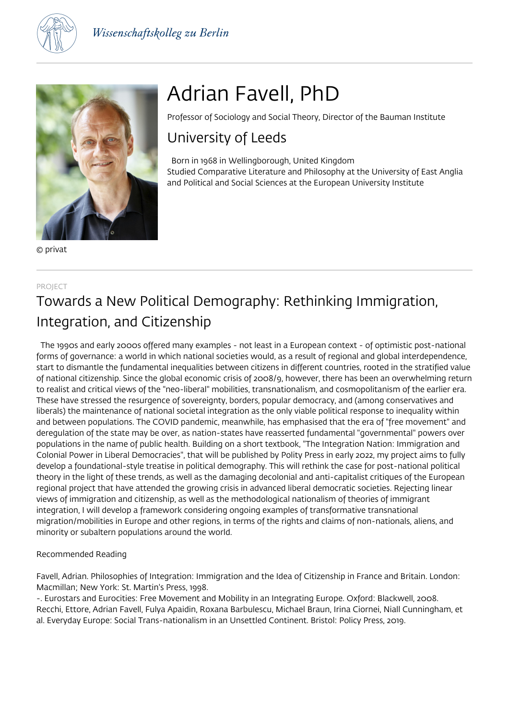



© privat

# Adrian Favell, PhD

Professor of Sociology and Social Theory, Director of the Bauman Institute

### University of Leeds

 Born in 1968 in Wellingborough, United Kingdom Studied Comparative Literature and Philosophy at the University of East Anglia and Political and Social Sciences at the European University Institute

#### PROJECT

## Towards a New Political Demography: Rethinking Immigration, Integration, and Citizenship

 The 1990s and early 2000s offered many examples - not least in a European context - of optimistic post-national forms of governance: a world in which national societies would, as a result of regional and global interdependence, start to dismantle the fundamental inequalities between citizens in different countries, rooted in the stratified value of national citizenship. Since the global economic crisis of 2008/9, however, there has been an overwhelming return to realist and critical views of the "neo-liberal" mobilities, transnationalism, and cosmopolitanism of the earlier era. These have stressed the resurgence of sovereignty, borders, popular democracy, and (among conservatives and liberals) the maintenance of national societal integration as the only viable political response to inequality within and between populations. The COVID pandemic, meanwhile, has emphasised that the era of "free movement" and deregulation of the state may be over, as nation-states have reasserted fundamental "governmental" powers over populations in the name of public health. Building on a short textbook, "The Integration Nation: Immigration and Colonial Power in Liberal Democracies", that will be published by Polity Press in early 2022, my project aims to fully develop a foundational-style treatise in political demography. This will rethink the case for post-national political theory in the light of these trends, as well as the damaging decolonial and anti-capitalist critiques of the European regional project that have attended the growing crisis in advanced liberal democratic societies. Rejecting linear views of immigration and citizenship, as well as the methodological nationalism of theories of immigrant integration, I will develop a framework considering ongoing examples of transformative transnational migration/mobilities in Europe and other regions, in terms of the rights and claims of non-nationals, aliens, and minority or subaltern populations around the world.

#### Recommended Reading

Favell, Adrian. Philosophies of Integration: Immigration and the Idea of Citizenship in France and Britain. London: Macmillan; New York: St. Martin's Press, 1998.

-. Eurostars and Eurocities: Free Movement and Mobility in an Integrating Europe. Oxford: Blackwell, 2008. Recchi, Ettore, Adrian Favell, Fulya Apaidin, Roxana Barbulescu, Michael Braun, Irina Ciornei, Niall Cunningham, et al. Everyday Europe: Social Trans-nationalism in an Unsettled Continent. Bristol: Policy Press, 2019.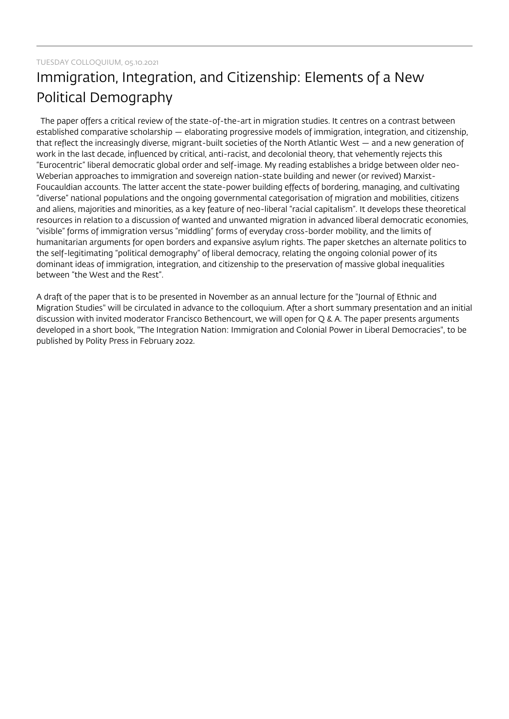# Immigration, Integration, and Citizenship: Elements of a New Political Demography

 The paper offers a critical review of the state-of-the-art in migration studies. It centres on a contrast between established comparative scholarship — elaborating progressive models of immigration, integration, and citizenship, that reflect the increasingly diverse, migrant-built societies of the North Atlantic West — and a new generation of work in the last decade, influenced by critical, anti-racist, and decolonial theory, that vehemently rejects this "Eurocentric" liberal democratic global order and self-image. My reading establishes a bridge between older neo-Weberian approaches to immigration and sovereign nation-state building and newer (or revived) Marxist-Foucauldian accounts. The latter accent the state-power building effects of bordering, managing, and cultivating "diverse" national populations and the ongoing governmental categorisation of migration and mobilities, citizens and aliens, majorities and minorities, as a key feature of neo-liberal "racial capitalism". It develops these theoretical resources in relation to a discussion of wanted and unwanted migration in advanced liberal democratic economies, "visible" forms of immigration versus "middling" forms of everyday cross-border mobility, and the limits of humanitarian arguments for open borders and expansive asylum rights. The paper sketches an alternate politics to the self-legitimating "political demography" of liberal democracy, relating the ongoing colonial power of its dominant ideas of immigration, integration, and citizenship to the preservation of massive global inequalities between "the West and the Rest".

A draft of the paper that is to be presented in November as an annual lecture for the "Journal of Ethnic and Migration Studies" will be circulated in advance to the colloquium. After a short summary presentation and an initial discussion with invited moderator Francisco Bethencourt, we will open for Q & A. The paper presents arguments developed in a short book, "The Integration Nation: Immigration and Colonial Power in Liberal Democracies", to be published by Polity Press in February 2022.